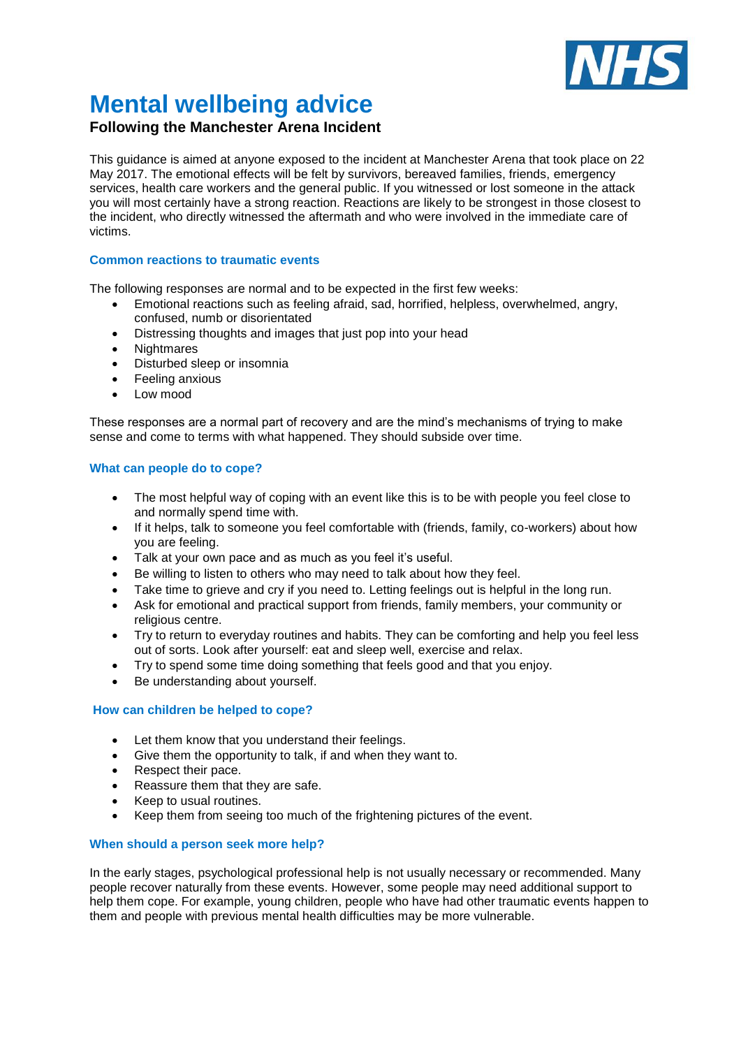

# **Mental wellbeing advice**

# **Following the Manchester Arena Incident**

This guidance is aimed at anyone exposed to the incident at Manchester Arena that took place on 22 May 2017. The emotional effects will be felt by survivors, bereaved families, friends, emergency services, health care workers and the general public. If you witnessed or lost someone in the attack you will most certainly have a strong reaction. Reactions are likely to be strongest in those closest to the incident, who directly witnessed the aftermath and who were involved in the immediate care of victims.

## **Common reactions to traumatic events**

The following responses are normal and to be expected in the first few weeks:

- Emotional reactions such as feeling afraid, sad, horrified, helpless, overwhelmed, angry, confused, numb or disorientated
- Distressing thoughts and images that just pop into your head
- Nightmares
- Disturbed sleep or insomnia
- Feeling anxious
- Low mood

These responses are a normal part of recovery and are the mind's mechanisms of trying to make sense and come to terms with what happened. They should subside over time.

#### **What can people do to cope?**

- The most helpful way of coping with an event like this is to be with people you feel close to and normally spend time with.
- If it helps, talk to someone you feel comfortable with (friends, family, co-workers) about how you are feeling.
- Talk at your own pace and as much as you feel it's useful.
- Be willing to listen to others who may need to talk about how they feel.
- Take time to grieve and cry if you need to. Letting feelings out is helpful in the long run.
- Ask for emotional and practical support from friends, family members, your community or religious centre.
- Try to return to everyday routines and habits. They can be comforting and help you feel less out of sorts. Look after yourself: eat and sleep well, exercise and relax.
- Try to spend some time doing something that feels good and that you enjoy.
- Be understanding about yourself.

#### **How can children be helped to cope?**

- Let them know that you understand their feelings.
- Give them the opportunity to talk, if and when they want to.
- Respect their pace.
- Reassure them that they are safe.
- Keep to usual routines.
- Keep them from seeing too much of the frightening pictures of the event.

#### **When should a person seek more help?**

In the early stages, psychological professional help is not usually necessary or recommended. Many people recover naturally from these events. However, some people may need additional support to help them cope. For example, young children, people who have had other traumatic events happen to them and people with previous mental health difficulties may be more vulnerable.